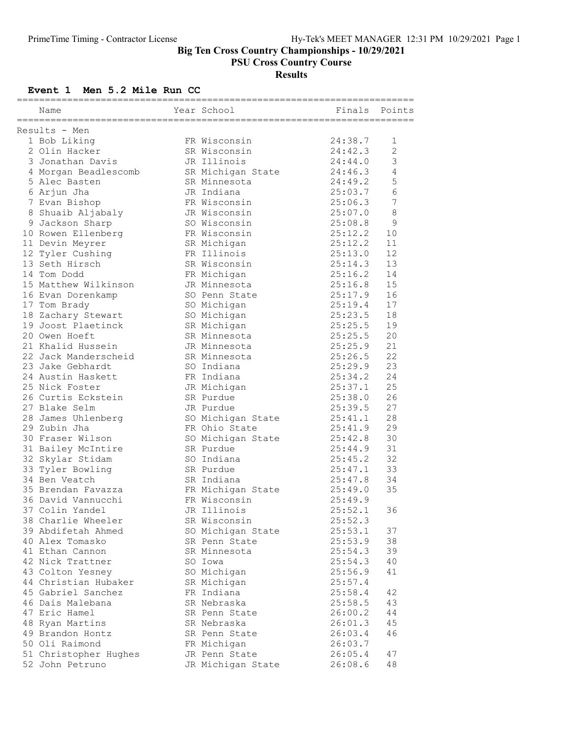#### Big Ten Cross Country Championships - 10/29/2021

PSU Cross Country Course

# Results

### Event 1 Men 5.2 Mile Run CC

|               | Name                               |  | Year School       | Finals             | Points         |  |  |
|---------------|------------------------------------|--|-------------------|--------------------|----------------|--|--|
| Results - Men |                                    |  |                   |                    |                |  |  |
|               | 1 Bob Liking                       |  | FR Wisconsin      | 24:38.7            | 1              |  |  |
|               | 2 Olin Hacker                      |  | SR Wisconsin      | 24:42.3            | $\mathbf{2}$   |  |  |
|               | 3 Jonathan Davis                   |  | JR Illinois       | 24:44.0            | 3              |  |  |
|               | 4 Morgan Beadlescomb               |  | SR Michigan State | 24:46.3            | 4              |  |  |
|               | 5 Alec Basten                      |  | SR Minnesota      | 24:49.2            | 5              |  |  |
|               | 6 Arjun Jha                        |  | JR Indiana        | 25:03.7            | 6              |  |  |
|               | 7 Evan Bishop                      |  | FR Wisconsin      | 25:06.3            | $\overline{7}$ |  |  |
|               | 8 Shuaib Aljabaly                  |  | JR Wisconsin      | 25:07.0            | $\,8\,$        |  |  |
|               | 9 Jackson Sharp                    |  | SO Wisconsin      | 25:08.8            | 9              |  |  |
|               | 10 Rowen Ellenberg                 |  | FR Wisconsin      | 25:12.2            | 10             |  |  |
|               |                                    |  | SR Michigan       | 25:12.2            | 11             |  |  |
|               | 11 Devin Meyrer                    |  | FR Illinois       |                    | 12             |  |  |
|               | 12 Tyler Cushing<br>13 Seth Hirsch |  | SR Wisconsin      | 25:13.0            |                |  |  |
|               | 14 Tom Dodd                        |  |                   | 25:14.3<br>25:16.2 | 13<br>14       |  |  |
|               | 15 Matthew Wilkinson               |  | FR Michigan       | 25:16.8            |                |  |  |
|               |                                    |  | JR Minnesota      |                    | 15             |  |  |
|               | 16 Evan Dorenkamp                  |  | SO Penn State     | 25:17.9            | 16             |  |  |
|               | 17 Tom Brady                       |  | SO Michigan       | 25:19.4            | 17             |  |  |
|               | 18 Zachary Stewart                 |  | SO Michigan       | 25:23.5            | 18             |  |  |
|               | 19 Joost Plaetinck                 |  | SR Michigan       | 25:25.5            | 19             |  |  |
|               | 20 Owen Hoeft                      |  | SR Minnesota      | 25:25.5            | 20             |  |  |
|               | 21 Khalid Hussein                  |  | JR Minnesota      | 25:25.9            | 21             |  |  |
|               | 22 Jack Manderscheid               |  | SR Minnesota      | 25:26.5            | 22             |  |  |
|               | 23 Jake Gebhardt                   |  | SO Indiana        | 25:29.9            | 23             |  |  |
|               | 24 Austin Haskett                  |  | FR Indiana        | 25:34.2            | 24             |  |  |
|               | 25 Nick Foster                     |  | JR Michigan       | 25:37.1            | 25             |  |  |
|               | 26 Curtis Eckstein                 |  | SR Purdue         | 25:38.0            | 26             |  |  |
|               | 27 Blake Selm                      |  | JR Purdue         | 25:39.5            | 27             |  |  |
|               | 28 James Uhlenberg                 |  | SO Michigan State | 25:41.1            | 28             |  |  |
|               | 29 Zubin Jha                       |  | FR Ohio State     | 25:41.9            | 29             |  |  |
|               | 30 Fraser Wilson                   |  | SO Michigan State | 25:42.8            | 30             |  |  |
|               | 31 Bailey McIntire                 |  | SR Purdue         | 25:44.9            | 31             |  |  |
|               | 32 Skylar Stidam                   |  | SO Indiana        | 25:45.2            | 32             |  |  |
|               | 33 Tyler Bowling                   |  | SR Purdue         | 25:47.1            | 33             |  |  |
|               | 34 Ben Veatch                      |  | SR Indiana        | 25:47.8            | 34             |  |  |
|               | 35 Brendan Favazza                 |  | FR Michigan State | 25:49.0            | 35             |  |  |
|               | 36 David Vannucchi                 |  | FR Wisconsin      | 25:49.9            |                |  |  |
|               | 37 Colin Yandel                    |  | JR Illinois       | 25:52.1            | 36             |  |  |
|               | 38 Charlie Wheeler                 |  | SR Wisconsin      | 25:52.3            |                |  |  |
|               | 39 Abdifetah Ahmed                 |  | SO Michigan State | 25:53.1            | 37             |  |  |
|               | 40 Alex Tomasko                    |  | SR Penn State     | 25:53.9            | 38             |  |  |
|               | 41 Ethan Cannon                    |  | SR Minnesota      | 25:54.3            | 39             |  |  |
|               | 42 Nick Trattner                   |  | SO Iowa           | 25:54.3            | 40             |  |  |
|               | 43 Colton Yesney                   |  | SO Michigan       | 25:56.9            | 41             |  |  |
|               | 44 Christian Hubaker               |  | SR Michigan       | 25:57.4            |                |  |  |
|               | 45 Gabriel Sanchez                 |  | FR Indiana        | 25:58.4            | 42             |  |  |
|               | 46 Dais Malebana                   |  | SR Nebraska       | 25:58.5            | 43             |  |  |
|               | 47 Eric Hamel                      |  | SR Penn State     | 26:00.2            | 44             |  |  |
|               | 48 Ryan Martins                    |  | SR Nebraska       | 26:01.3            | 45             |  |  |
|               | 49 Brandon Hontz                   |  | SR Penn State     | 26:03.4            | 46             |  |  |
|               | 50 Oli Raimond                     |  | FR Michigan       | 26:03.7            |                |  |  |
|               | 51 Christopher Hughes              |  | JR Penn State     | 26:05.4            | 47             |  |  |
|               | 52 John Petruno                    |  | JR Michigan State | 26:08.6            | 48             |  |  |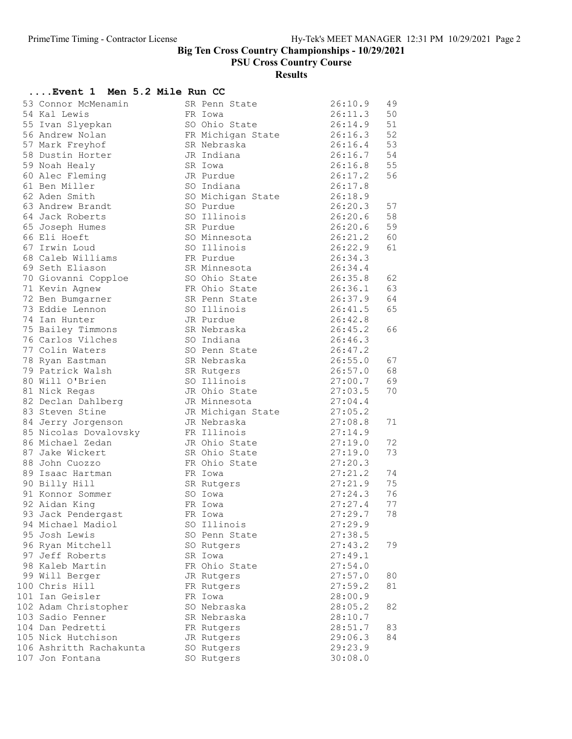Big Ten Cross Country Championships - 10/29/2021

PSU Cross Country Course

# Results

### ....Event 1 Men 5.2 Mile Run CC

| 53 Connor McMenamin                  | SR Penn State            | 26:10.9            | 49       |
|--------------------------------------|--------------------------|--------------------|----------|
| 54 Kal Lewis                         | FR Iowa                  | 26:11.3            | 50       |
| 55 Ivan Slyepkan                     | SO Ohio State            | 26:14.9            | 51       |
| 56 Andrew Nolan                      | FR Michigan State        | 26:16.3            | 52       |
| 57 Mark Freyhof                      | SR Nebraska              | 26:16.4            | 53       |
| 58 Dustin Horter                     | JR Indiana               | 26:16.7            | 54       |
| 59 Noah Healy                        | SR Iowa                  | 26:16.8            | 55       |
| 60 Alec Fleming                      | JR Purdue                | 26:17.2            | 56       |
| 61 Ben Miller                        | SO Indiana               | 26:17.8            |          |
| 62 Aden Smith                        | SO Michigan State        | 26:18.9            |          |
| 63 Andrew Brandt                     | SO Purdue                | 26:20.3            | 57       |
| 64 Jack Roberts                      | SO Illinois              | 26:20.6            | 58       |
| 65 Joseph Humes                      | SR Purdue                | 26:20.6            | 59       |
| 66 Eli Hoeft                         | SO Minnesota             | 26:21.2            | 60       |
| 67 Irwin Loud                        | SO Illinois              | 26:22.9            | 61       |
| 68 Caleb Williams<br>69 Seth Eliason | FR Purdue                | 26:34.3            |          |
|                                      | SR Minnesota             | 26:34.4            |          |
| 70 Giovanni Copploe                  | SO Ohio State            | 26:35.8            | 62       |
| 71 Kevin Agnew                       | FR Ohio State            | 26:36.1            | 63<br>64 |
| 72 Ben Bumgarner<br>73 Eddie Lennon  | SR Penn State            | 26:37.9<br>26:41.5 | 65       |
|                                      | SO Illinois              | 26:42.8            |          |
| 74 Ian Hunter<br>75 Bailey Timmons   | JR Purdue<br>SR Nebraska | 26:45.2            | 66       |
| 76 Carlos Vilches                    | SO Indiana               | 26:46.3            |          |
| 77 Colin Waters                      | SO Penn State            | 26:47.2            |          |
| 78 Ryan Eastman                      | SR Nebraska              | 26:55.0            | 67       |
| 79 Patrick Walsh                     | SR Rutgers               | 26:57.0            | 68       |
| 80 Will O'Brien                      | SO Illinois              | 27:00.7            | 69       |
| 81 Nick Regas                        | JR Ohio State            | 27:03.5            | 70       |
| 82 Declan Dahlberg                   | JR Minnesota             | 27:04.4            |          |
| 83 Steven Stine                      | JR Michigan State        | 27:05.2            |          |
| 84 Jerry Jorgenson                   | JR Nebraska              | 27:08.8            | 71       |
| 85 Nicolas Dovalovsky                | FR Illinois              | 27:14.9            |          |
| 86 Michael Zedan                     | JR Ohio State            | 27:19.0            | 72       |
| 87 Jake Wickert                      | SR Ohio State            | 27:19.0            | 73       |
| 88 John Cuozzo                       | FR Ohio State            | 27:20.3            |          |
| 89 Isaac Hartman                     | FR Iowa                  | 27:21.2            | 74       |
| 90 Billy Hill                        | SR Rutgers               | 27:21.9            | 75       |
| 91 Konnor Sommer                     | SO Iowa                  | 27:24.3            | 76       |
| 92 Aidan King                        | FR Iowa                  | 27:27.4            | 77       |
| 93 Jack Pendergast                   | FR Iowa                  | 27:29.7            | 78       |
| 94 Michael Madiol                    | SO Illinois              | 27:29.9            |          |
| 95 Josh Lewis                        | SO Penn State            | 27:38.5            |          |
| 96 Ryan Mitchell                     | SO Rutgers               | 27:43.2            | 79       |
| 97 Jeff Roberts                      | SR Iowa                  | 27:49.1            |          |
| 98 Kaleb Martin                      | FR Ohio State            | 27:54.0            |          |
| 99 Will Berger                       | JR Rutgers               | 27:57.0            | 80       |
| 100 Chris Hill                       | FR Rutgers               | 27:59.2            | 81       |
| 101 Ian Geisler                      | FR Iowa                  | 28:00.9            |          |
| 102 Adam Christopher                 | SO Nebraska              | 28:05.2            | 82       |
| 103 Sadio Fenner                     | SR Nebraska              | 28:10.7            |          |
| 104 Dan Pedretti                     | FR Rutgers               | 28:51.7            | 83       |
| 105 Nick Hutchison                   | JR Rutgers               | 29:06.3            | 84       |
| 106 Ashritth Rachakunta              | SO Rutgers               | 29:23.9            |          |
| 107 Jon Fontana                      | SO Rutgers               | 30:08.0            |          |